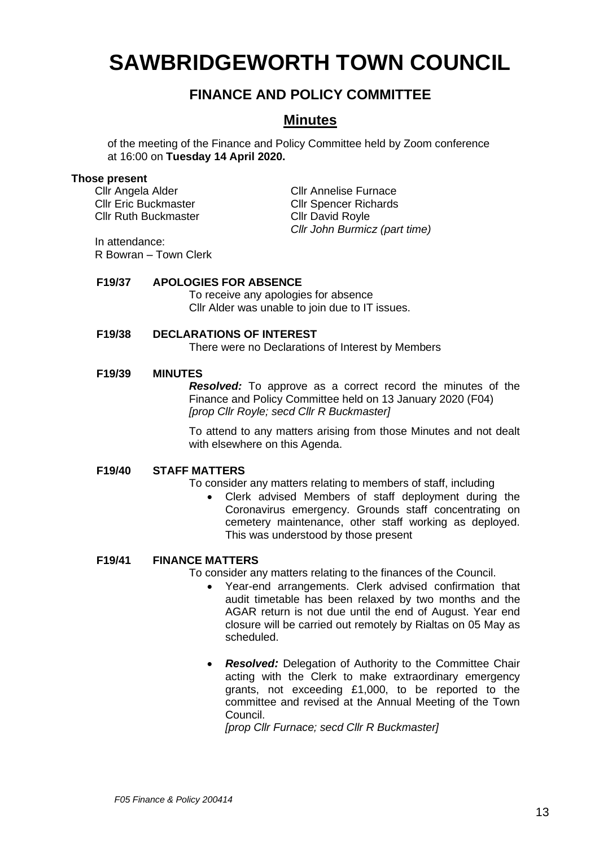# **SAWBRIDGEWORTH TOWN COUNCIL**

## **FINANCE AND POLICY COMMITTEE**

### **Minutes**

of the meeting of the Finance and Policy Committee held by Zoom conference at 16:00 on **Tuesday 14 April 2020.**

#### **Those present**

Cllr Angela Alder Cllr Annelise Furnace Cllr Ruth Buckmaster Cllr David Royle

Cllr Eric Buckmaster Cllr Spencer Richards *Cllr John Burmicz (part time)*

In attendance: R Bowran – Town Clerk

#### **F19/37 APOLOGIES FOR ABSENCE**

To receive any apologies for absence Cllr Alder was unable to join due to IT issues.

#### **F19/38 DECLARATIONS OF INTEREST**

There were no Declarations of Interest by Members

#### **F19/39 MINUTES**

*Resolved:* To approve as a correct record the minutes of the Finance and Policy Committee held on 13 January 2020 (F04) *[prop Cllr Royle; secd Cllr R Buckmaster]*

To attend to any matters arising from those Minutes and not dealt with elsewhere on this Agenda.

#### **F19/40 STAFF MATTERS**

To consider any matters relating to members of staff, including

• Clerk advised Members of staff deployment during the Coronavirus emergency. Grounds staff concentrating on cemetery maintenance, other staff working as deployed. This was understood by those present

#### **F19/41 FINANCE MATTERS**

To consider any matters relating to the finances of the Council.

- Year-end arrangements. Clerk advised confirmation that audit timetable has been relaxed by two months and the AGAR return is not due until the end of August. Year end closure will be carried out remotely by Rialtas on 05 May as scheduled.
- *Resolved:* Delegation of Authority to the Committee Chair acting with the Clerk to make extraordinary emergency grants, not exceeding £1,000, to be reported to the committee and revised at the Annual Meeting of the Town Council.

*[prop Cllr Furnace; secd Cllr R Buckmaster]*